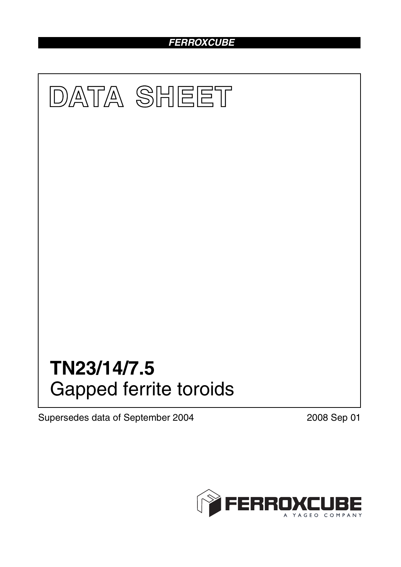## *FERROXCUBE*



Supersedes data of September 2004 2008 Sep 01

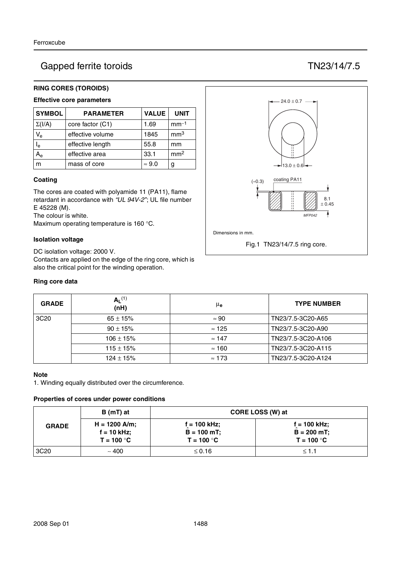# Gapped ferrite toroids TN23/14/7.5

#### **RING CORES (TOROIDS)**

#### **Effective core parameters**

| <b>SYMBOL</b>           | <b>PARAMETER</b> | <b>VALUE</b>  | <b>UNIT</b>     |
|-------------------------|------------------|---------------|-----------------|
| $\Sigma(I/A)$           | core factor (C1) | 1.69          | $mm-1$          |
| $V_{e}$                 | effective volume | 1845          | mm <sup>3</sup> |
| $\mathsf{I}_\mathsf{e}$ | effective length | 55.8          | mm              |
|                         | effective area   | 33.1          | mm <sup>2</sup> |
| m                       | mass of core     | $\approx 9.0$ | g               |

#### **Coating**

The cores are coated with polyamide 11 (PA11), flame retardant in accordance with *"UL 94V-2"*; UL file number E 45228 (M).

The colour is white.

Maximum operating temperature is 160 °C.

#### **Isolation voltage**

DC isolation voltage: 2000 V. Contacts are applied on the edge of the ring core, which is also the critical point for the winding operation.

#### **Ring core data**



| <b>GRADE</b>     | $A_L^{(1)}$<br>(nH) | μe            | <b>TYPE NUMBER</b> |
|------------------|---------------------|---------------|--------------------|
| 3C <sub>20</sub> | $65 \pm 15\%$       | $\approx 90$  | TN23/7.5-3C20-A65  |
|                  | $90 \pm 15\%$       | $\approx$ 125 | TN23/7.5-3C20-A90  |
|                  | $106 \pm 15\%$      | $\approx$ 147 | TN23/7.5-3C20-A106 |
|                  | $115 \pm 15\%$      | $\approx$ 160 | TN23/7.5-3C20-A115 |
|                  | $124 \pm 15%$       | $\approx$ 173 | TN23/7.5-3C20-A124 |

#### **Note**

1. Winding equally distributed over the circumference.

#### **Properties of cores under power conditions**

|                  | B (mT) at                                        | CORE LOSS (W) at                                 |                                                 |  |
|------------------|--------------------------------------------------|--------------------------------------------------|-------------------------------------------------|--|
| <b>GRADE</b>     | $H = 1200$ A/m;<br>$f = 10$ kHz;<br>$T = 100 °C$ | $f = 100$ kHz;<br>$B = 100 mT$ ;<br>$T = 100 °C$ | $f = 100$ kHz;<br>$B = 200$ mT;<br>$T = 100 °C$ |  |
| 3C <sub>20</sub> | ~100                                             | $\leq 0.16$                                      | $\leq 1.1$                                      |  |